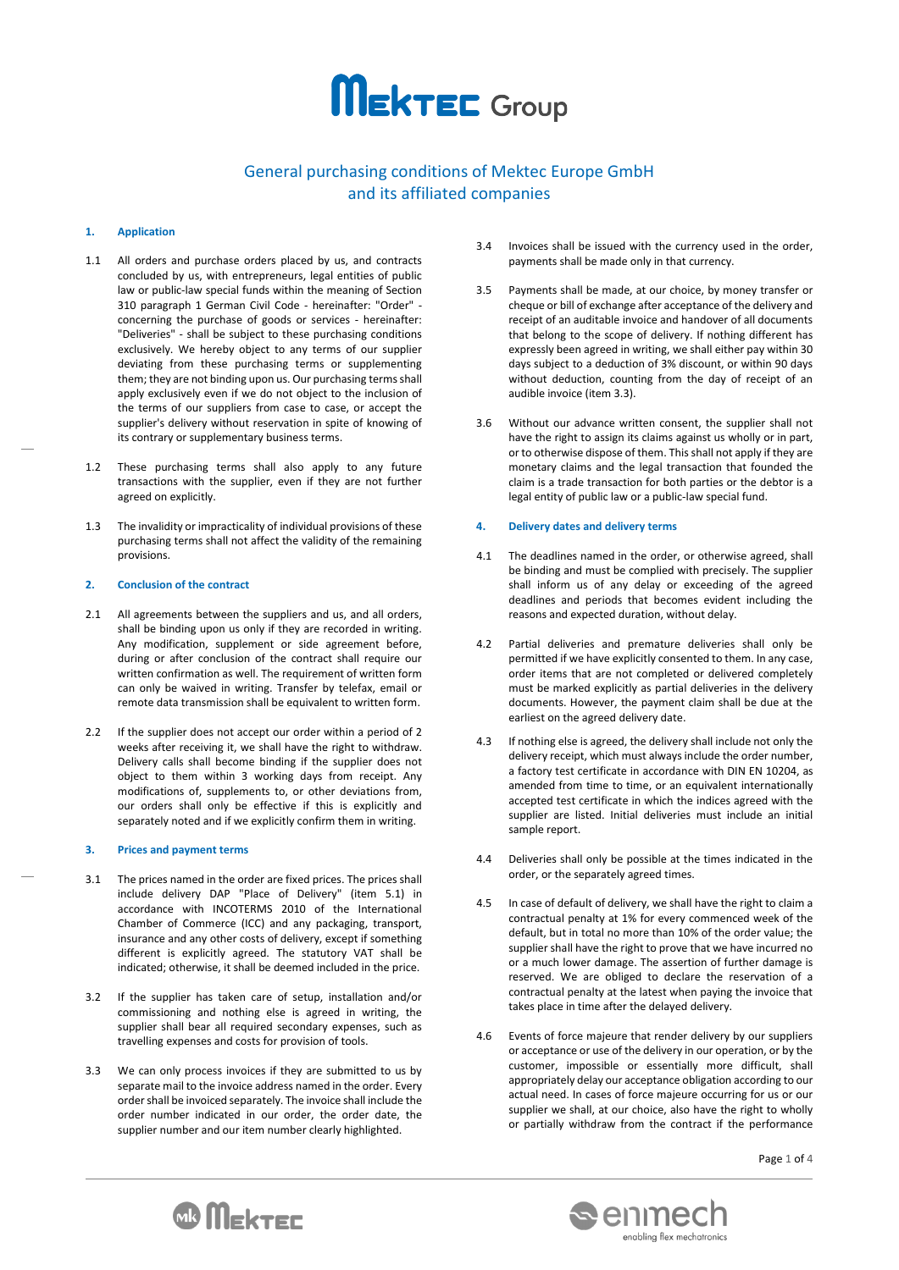

# General purchasing conditions of Mektec Europe GmbH and its affiliated companies

# **1. Application**

- 1.1 All orders and purchase orders placed by us, and contracts concluded by us, with entrepreneurs, legal entities of public law or public-law special funds within the meaning of Section 310 paragraph 1 German Civil Code - hereinafter: "Order" concerning the purchase of goods or services - hereinafter: "Deliveries" - shall be subject to these purchasing conditions exclusively. We hereby object to any terms of our supplier deviating from these purchasing terms or supplementing them; they are not binding upon us. Our purchasing terms shall apply exclusively even if we do not object to the inclusion of the terms of our suppliers from case to case, or accept the supplier's delivery without reservation in spite of knowing of its contrary or supplementary business terms.
- 1.2 These purchasing terms shall also apply to any future transactions with the supplier, even if they are not further agreed on explicitly.
- 1.3 The invalidity or impracticality of individual provisions of these purchasing terms shall not affect the validity of the remaining provisions.

# **2. Conclusion of the contract**

- 2.1 All agreements between the suppliers and us, and all orders, shall be binding upon us only if they are recorded in writing. Any modification, supplement or side agreement before, during or after conclusion of the contract shall require our written confirmation as well. The requirement of written form can only be waived in writing. Transfer by telefax, email or remote data transmission shall be equivalent to written form.
- 2.2 If the supplier does not accept our order within a period of 2 weeks after receiving it, we shall have the right to withdraw. Delivery calls shall become binding if the supplier does not object to them within 3 working days from receipt. Any modifications of, supplements to, or other deviations from, our orders shall only be effective if this is explicitly and separately noted and if we explicitly confirm them in writing.

# **3. Prices and payment terms**

- 3.1 The prices named in the order are fixed prices. The prices shall include delivery DAP "Place of Delivery" (item 5.1) in accordance with INCOTERMS 2010 of the International Chamber of Commerce (ICC) and any packaging, transport, insurance and any other costs of delivery, except if something different is explicitly agreed. The statutory VAT shall be indicated; otherwise, it shall be deemed included in the price.
- 3.2 If the supplier has taken care of setup, installation and/or commissioning and nothing else is agreed in writing, the supplier shall bear all required secondary expenses, such as travelling expenses and costs for provision of tools.
- 3.3 We can only process invoices if they are submitted to us by separate mail to the invoice address named in the order. Every order shall be invoiced separately. The invoice shall include the order number indicated in our order, the order date, the supplier number and our item number clearly highlighted.
- 3.4 Invoices shall be issued with the currency used in the order, payments shall be made only in that currency.
- 3.5 Payments shall be made, at our choice, by money transfer or cheque or bill of exchange after acceptance of the delivery and receipt of an auditable invoice and handover of all documents that belong to the scope of delivery. If nothing different has expressly been agreed in writing, we shall either pay within 30 days subject to a deduction of 3% discount, or within 90 days without deduction, counting from the day of receipt of an audible invoice (item 3.3).
- 3.6 Without our advance written consent, the supplier shall not have the right to assign its claims against us wholly or in part, or to otherwise dispose of them. This shall not apply if they are monetary claims and the legal transaction that founded the claim is a trade transaction for both parties or the debtor is a legal entity of public law or a public-law special fund.

# **4. Delivery dates and delivery terms**

- 4.1 The deadlines named in the order, or otherwise agreed, shall be binding and must be complied with precisely. The supplier shall inform us of any delay or exceeding of the agreed deadlines and periods that becomes evident including the reasons and expected duration, without delay.
- 4.2 Partial deliveries and premature deliveries shall only be permitted if we have explicitly consented to them. In any case, order items that are not completed or delivered completely must be marked explicitly as partial deliveries in the delivery documents. However, the payment claim shall be due at the earliest on the agreed delivery date.
- 4.3 If nothing else is agreed, the delivery shall include not only the delivery receipt, which must always include the order number, a factory test certificate in accordance with DIN EN 10204, as amended from time to time, or an equivalent internationally accepted test certificate in which the indices agreed with the supplier are listed. Initial deliveries must include an initial sample report.
- 4.4 Deliveries shall only be possible at the times indicated in the order, or the separately agreed times.
- 4.5 In case of default of delivery, we shall have the right to claim a contractual penalty at 1% for every commenced week of the default, but in total no more than 10% of the order value; the supplier shall have the right to prove that we have incurred no or a much lower damage. The assertion of further damage is reserved. We are obliged to declare the reservation of a contractual penalty at the latest when paying the invoice that takes place in time after the delayed delivery.
- 4.6 Events of force majeure that render delivery by our suppliers or acceptance or use of the delivery in our operation, or by the customer, impossible or essentially more difficult, shall appropriately delay our acceptance obligation according to our actual need. In cases of force majeure occurring for us or our supplier we shall, at our choice, also have the right to wholly or partially withdraw from the contract if the performance



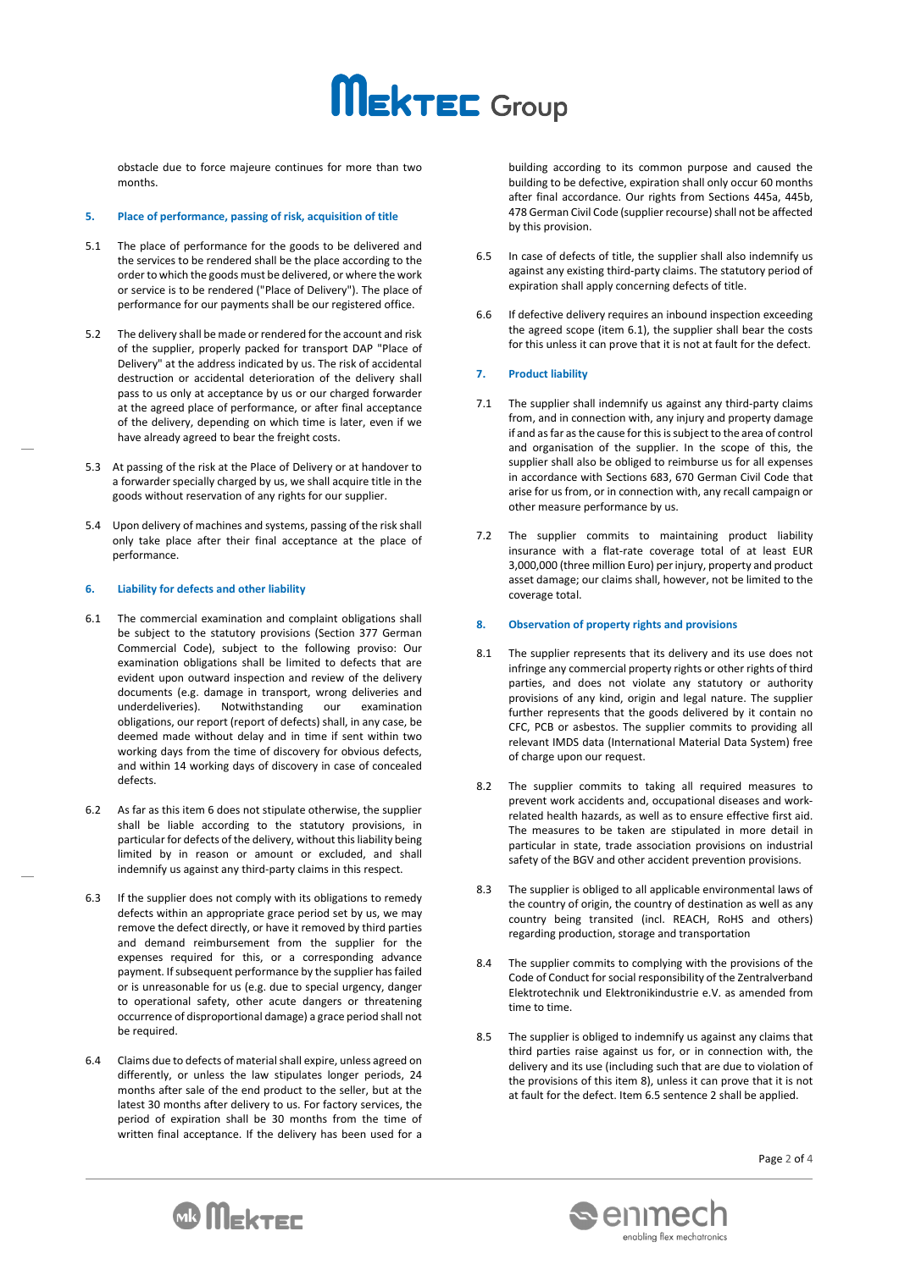# **MEKTEC** Group

obstacle due to force majeure continues for more than two months.

#### **5. Place of performance, passing of risk, acquisition of title**

- 5.1 The place of performance for the goods to be delivered and the services to be rendered shall be the place according to the order to which the goods must be delivered, or where the work or service is to be rendered ("Place of Delivery"). The place of performance for our payments shall be our registered office.
- 5.2 The delivery shall be made or rendered for the account and risk of the supplier, properly packed for transport DAP "Place of Delivery" at the address indicated by us. The risk of accidental destruction or accidental deterioration of the delivery shall pass to us only at acceptance by us or our charged forwarder at the agreed place of performance, or after final acceptance of the delivery, depending on which time is later, even if we have already agreed to bear the freight costs.
- 5.3 At passing of the risk at the Place of Delivery or at handover to a forwarder specially charged by us, we shall acquire title in the goods without reservation of any rights for our supplier.
- 5.4 Upon delivery of machines and systems, passing of the risk shall only take place after their final acceptance at the place of performance.

# **6. Liability for defects and other liability**

- 6.1 The commercial examination and complaint obligations shall be subject to the statutory provisions (Section 377 German Commercial Code), subject to the following proviso: Our examination obligations shall be limited to defects that are evident upon outward inspection and review of the delivery documents (e.g. damage in transport, wrong deliveries and underdeliveries). Notwithstanding our examination obligations, our report (report of defects) shall, in any case, be deemed made without delay and in time if sent within two working days from the time of discovery for obvious defects, and within 14 working days of discovery in case of concealed defects.
- 6.2 As far as this item 6 does not stipulate otherwise, the supplier shall be liable according to the statutory provisions, in particular for defects of the delivery, without this liability being limited by in reason or amount or excluded, and shall indemnify us against any third-party claims in this respect.
- 6.3 If the supplier does not comply with its obligations to remedy defects within an appropriate grace period set by us, we may remove the defect directly, or have it removed by third parties and demand reimbursement from the supplier for the expenses required for this, or a corresponding advance payment. If subsequent performance by the supplier has failed or is unreasonable for us (e.g. due to special urgency, danger to operational safety, other acute dangers or threatening occurrence of disproportional damage) a grace period shall not be required.
- 6.4 Claims due to defects of material shall expire, unless agreed on differently, or unless the law stipulates longer periods, 24 months after sale of the end product to the seller, but at the latest 30 months after delivery to us. For factory services, the period of expiration shall be 30 months from the time of written final acceptance. If the delivery has been used for a

building according to its common purpose and caused the building to be defective, expiration shall only occur 60 months after final accordance. Our rights from Sections 445a, 445b, 478 German Civil Code (supplier recourse) shall not be affected by this provision.

- 6.5 In case of defects of title, the supplier shall also indemnify us against any existing third-party claims. The statutory period of expiration shall apply concerning defects of title.
- 6.6 If defective delivery requires an inbound inspection exceeding the agreed scope (item 6.1), the supplier shall bear the costs for this unless it can prove that it is not at fault for the defect.

#### **7. Product liability**

- 7.1 The supplier shall indemnify us against any third-party claims from, and in connection with, any injury and property damage if and as far as the cause for this is subject to the area of control and organisation of the supplier. In the scope of this, the supplier shall also be obliged to reimburse us for all expenses in accordance with Sections 683, 670 German Civil Code that arise for us from, or in connection with, any recall campaign or other measure performance by us.
- 7.2 The supplier commits to maintaining product liability insurance with a flat-rate coverage total of at least EUR 3,000,000 (three million Euro) per injury, property and product asset damage; our claims shall, however, not be limited to the coverage total.

#### **8. Observation of property rights and provisions**

- 8.1 The supplier represents that its delivery and its use does not infringe any commercial property rights or other rights of third parties, and does not violate any statutory or authority provisions of any kind, origin and legal nature. The supplier further represents that the goods delivered by it contain no CFC, PCB or asbestos. The supplier commits to providing all relevant IMDS data (International Material Data System) free of charge upon our request.
- 8.2 The supplier commits to taking all required measures to prevent work accidents and, occupational diseases and workrelated health hazards, as well as to ensure effective first aid. The measures to be taken are stipulated in more detail in particular in state, trade association provisions on industrial safety of the BGV and other accident prevention provisions.
- 8.3 The supplier is obliged to all applicable environmental laws of the country of origin, the country of destination as well as any country being transited (incl. REACH, RoHS and others) regarding production, storage and transportation
- 8.4 The supplier commits to complying with the provisions of the Code of Conduct for social responsibility of the Zentralverband Elektrotechnik und Elektronikindustrie e.V. as amended from time to time.
- 8.5 The supplier is obliged to indemnify us against any claims that third parties raise against us for, or in connection with, the delivery and its use (including such that are due to violation of the provisions of this item 8), unless it can prove that it is not at fault for the defect. Item 6.5 sentence 2 shall be applied.

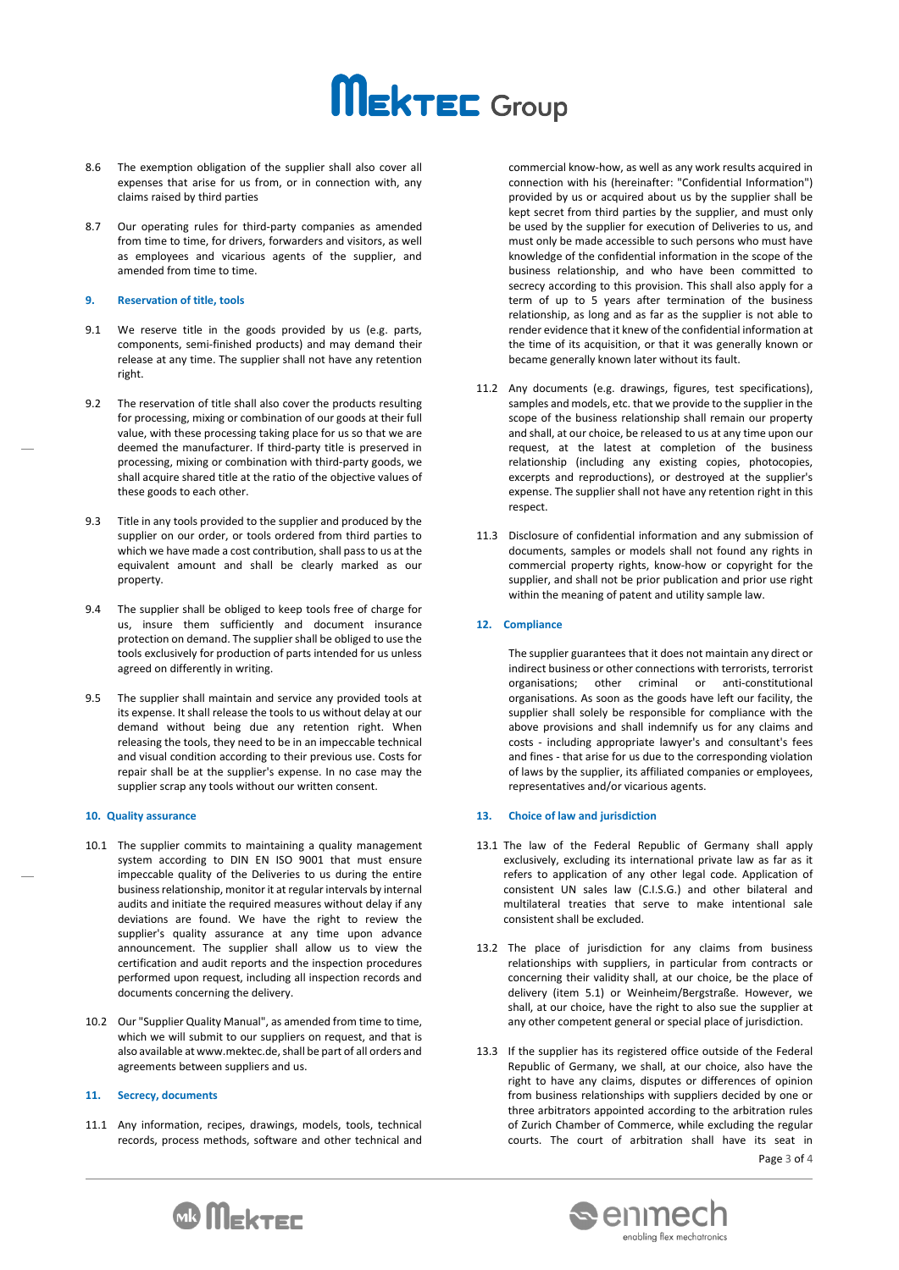# **MEKTEC** Group

- 8.6 The exemption obligation of the supplier shall also cover all expenses that arise for us from, or in connection with, any claims raised by third parties
- 8.7 Our operating rules for third-party companies as amended from time to time, for drivers, forwarders and visitors, as well as employees and vicarious agents of the supplier, and amended from time to time.

#### **9. Reservation of title, tools**

- 9.1 We reserve title in the goods provided by us (e.g. parts, components, semi-finished products) and may demand their release at any time. The supplier shall not have any retention right.
- 9.2 The reservation of title shall also cover the products resulting for processing, mixing or combination of our goods at their full value, with these processing taking place for us so that we are deemed the manufacturer. If third-party title is preserved in processing, mixing or combination with third-party goods, we shall acquire shared title at the ratio of the objective values of these goods to each other.
- Title in any tools provided to the supplier and produced by the supplier on our order, or tools ordered from third parties to which we have made a cost contribution, shall pass to us at the equivalent amount and shall be clearly marked as our property.
- 9.4 The supplier shall be obliged to keep tools free of charge for us, insure them sufficiently and document insurance protection on demand. The supplier shall be obliged to use the tools exclusively for production of parts intended for us unless agreed on differently in writing.
- 9.5 The supplier shall maintain and service any provided tools at its expense. It shall release the tools to us without delay at our demand without being due any retention right. When releasing the tools, they need to be in an impeccable technical and visual condition according to their previous use. Costs for repair shall be at the supplier's expense. In no case may the supplier scrap any tools without our written consent.

# **10. Quality assurance**

- 10.1 The supplier commits to maintaining a quality management system according to DIN EN ISO 9001 that must ensure impeccable quality of the Deliveries to us during the entire business relationship, monitor it at regular intervals by internal audits and initiate the required measures without delay if any deviations are found. We have the right to review the supplier's quality assurance at any time upon advance announcement. The supplier shall allow us to view the certification and audit reports and the inspection procedures performed upon request, including all inspection records and documents concerning the delivery.
- 10.2 Our "Supplier Quality Manual", as amended from time to time, which we will submit to our suppliers on request, and that is also available at [www.mektec.de,](http://www.mektec.de/) shall be part of all orders and agreements between suppliers and us.

#### **11. Secrecy, documents**

11.1 Any information, recipes, drawings, models, tools, technical records, process methods, software and other technical and

commercial know-how, as well as any work results acquired in connection with his (hereinafter: "Confidential Information") provided by us or acquired about us by the supplier shall be kept secret from third parties by the supplier, and must only be used by the supplier for execution of Deliveries to us, and must only be made accessible to such persons who must have knowledge of the confidential information in the scope of the business relationship, and who have been committed to secrecy according to this provision. This shall also apply for a term of up to 5 years after termination of the business relationship, as long and as far as the supplier is not able to render evidence that it knew of the confidential information at the time of its acquisition, or that it was generally known or became generally known later without its fault.

- 11.2 Any documents (e.g. drawings, figures, test specifications), samples and models, etc. that we provide to the supplier in the scope of the business relationship shall remain our property and shall, at our choice, be released to us at any time upon our request, at the latest at completion of the business relationship (including any existing copies, photocopies, excerpts and reproductions), or destroyed at the supplier's expense. The supplier shall not have any retention right in this respect.
- 11.3 Disclosure of confidential information and any submission of documents, samples or models shall not found any rights in commercial property rights, know-how or copyright for the supplier, and shall not be prior publication and prior use right within the meaning of patent and utility sample law.

#### **12. Compliance**

The supplier guarantees that it does not maintain any direct or indirect business or other connections with terrorists, terrorist organisations; other criminal or anti-constitutional organisations. As soon as the goods have left our facility, the supplier shall solely be responsible for compliance with the above provisions and shall indemnify us for any claims and costs - including appropriate lawyer's and consultant's fees and fines - that arise for us due to the corresponding violation of laws by the supplier, its affiliated companies or employees, representatives and/or vicarious agents.

#### **13. Choice of law and jurisdiction**

- 13.1 The law of the Federal Republic of Germany shall apply exclusively, excluding its international private law as far as it refers to application of any other legal code. Application of consistent UN sales law (C.I.S.G.) and other bilateral and multilateral treaties that serve to make intentional sale consistent shall be excluded.
- 13.2 The place of jurisdiction for any claims from business relationships with suppliers, in particular from contracts or concerning their validity shall, at our choice, be the place of delivery (item 5.1) or Weinheim/Bergstraße. However, we shall, at our choice, have the right to also sue the supplier at any other competent general or special place of jurisdiction.
- Page 3 of 4 13.3 If the supplier has its registered office outside of the Federal Republic of Germany, we shall, at our choice, also have the right to have any claims, disputes or differences of opinion from business relationships with suppliers decided by one or three arbitrators appointed according to the arbitration rules of Zurich Chamber of Commerce, while excluding the regular courts. The court of arbitration shall have its seat in